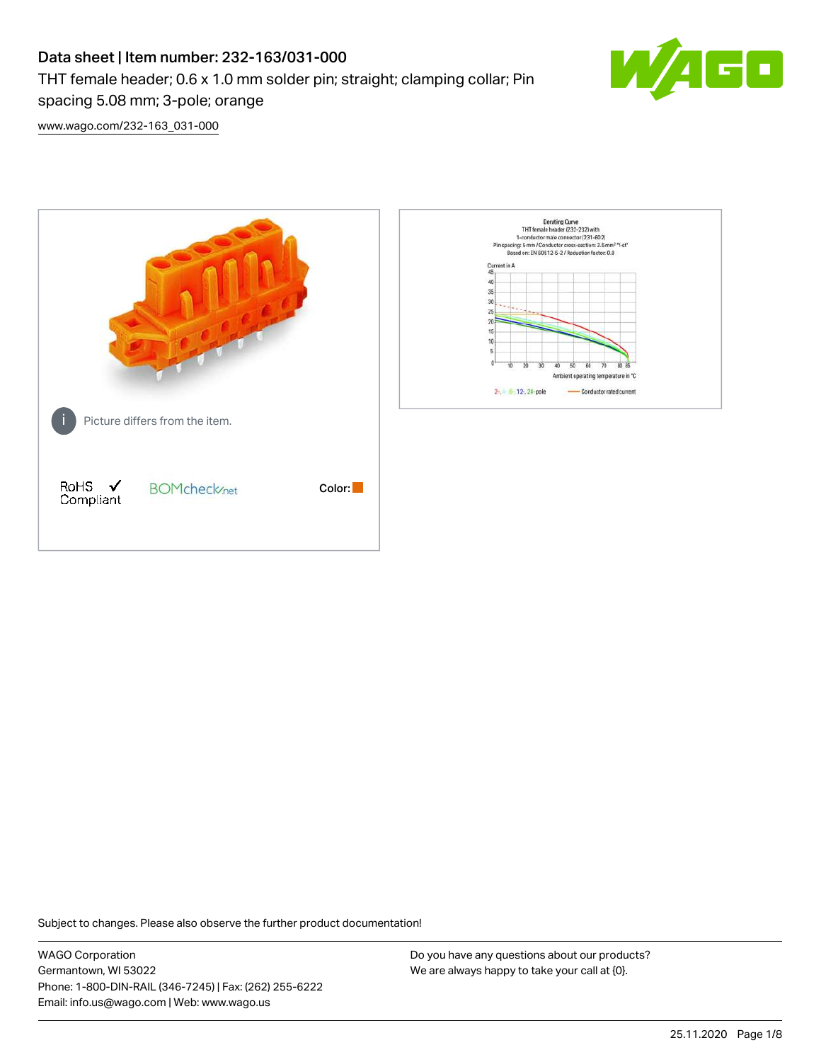# Data sheet | Item number: 232-163/031-000 THT female header; 0.6 x 1.0 mm solder pin; straight; clamping collar; Pin spacing 5.08 mm; 3-pole; orange



[www.wago.com/232-163\\_031-000](http://www.wago.com/232-163_031-000)



Subject to changes. Please also observe the further product documentation!

WAGO Corporation Germantown, WI 53022 Phone: 1-800-DIN-RAIL (346-7245) | Fax: (262) 255-6222 Email: info.us@wago.com | Web: www.wago.us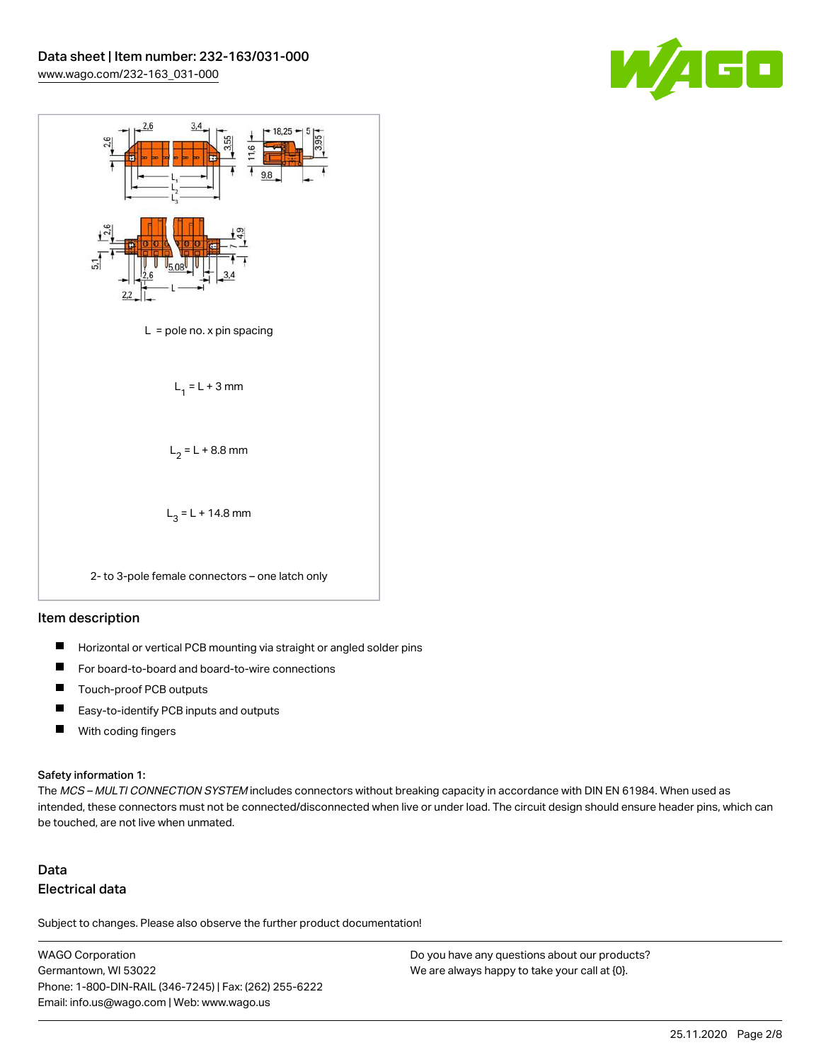



#### Item description

- $\blacksquare$ Horizontal or vertical PCB mounting via straight or angled solder pins
- П For board-to-board and board-to-wire connections
- $\blacksquare$ Touch-proof PCB outputs
- $\blacksquare$ Easy-to-identify PCB inputs and outputs
- $\blacksquare$ With coding fingers

#### Safety information 1:

The MCS - MULTI CONNECTION SYSTEM includes connectors without breaking capacity in accordance with DIN EN 61984. When used as intended, these connectors must not be connected/disconnected when live or under load. The circuit design should ensure header pins, which can be touched, are not live when unmated.

## Data Electrical data

Subject to changes. Please also observe the further product documentation!

WAGO Corporation Germantown, WI 53022 Phone: 1-800-DIN-RAIL (346-7245) | Fax: (262) 255-6222 Email: info.us@wago.com | Web: www.wago.us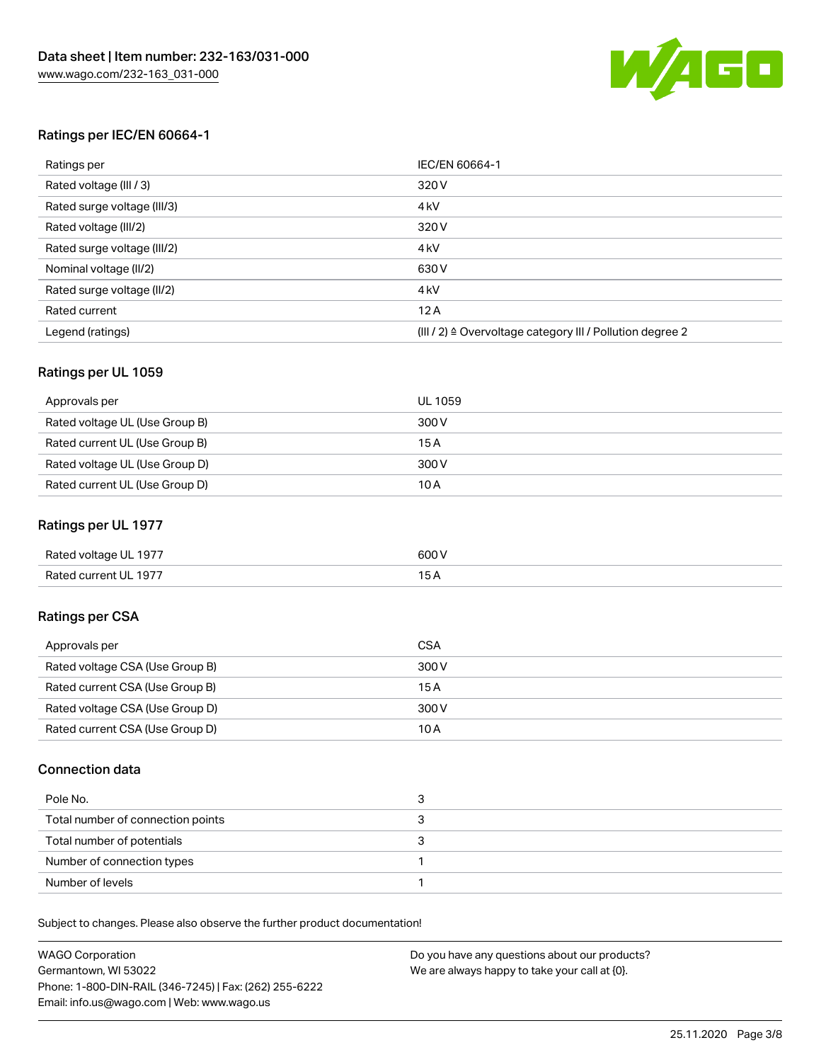

### Ratings per IEC/EN 60664-1

| Ratings per                 | IEC/EN 60664-1                                                        |
|-----------------------------|-----------------------------------------------------------------------|
| Rated voltage (III / 3)     | 320 V                                                                 |
| Rated surge voltage (III/3) | 4 <sub>k</sub> V                                                      |
| Rated voltage (III/2)       | 320 V                                                                 |
| Rated surge voltage (III/2) | 4 <sub>k</sub> V                                                      |
| Nominal voltage (II/2)      | 630 V                                                                 |
| Rated surge voltage (II/2)  | 4 <sub>k</sub> V                                                      |
| Rated current               | 12A                                                                   |
| Legend (ratings)            | $(III / 2)$ $\triangle$ Overvoltage category III / Pollution degree 2 |

### Ratings per UL 1059

| Approvals per                  | UL 1059 |
|--------------------------------|---------|
| Rated voltage UL (Use Group B) | 300 V   |
| Rated current UL (Use Group B) | 15 A    |
| Rated voltage UL (Use Group D) | 300 V   |
| Rated current UL (Use Group D) | 10 A    |

### Ratings per UL 1977

| Rated voltage UL 1977 | 600 <sup>V</sup><br>. |
|-----------------------|-----------------------|
| Rated current UL 1977 |                       |

### Ratings per CSA

| Approvals per                   | CSA   |
|---------------------------------|-------|
| Rated voltage CSA (Use Group B) | 300 V |
| Rated current CSA (Use Group B) | 15 A  |
| Rated voltage CSA (Use Group D) | 300 V |
| Rated current CSA (Use Group D) | 10 A  |

### Connection data

| Pole No.                          |  |
|-----------------------------------|--|
| Total number of connection points |  |
| Total number of potentials        |  |
| Number of connection types        |  |
| Number of levels                  |  |

Subject to changes. Please also observe the further product documentation!

| <b>WAGO Corporation</b>                                | Do you have any questions about our products? |
|--------------------------------------------------------|-----------------------------------------------|
| Germantown, WI 53022                                   | We are always happy to take your call at {0}. |
| Phone: 1-800-DIN-RAIL (346-7245)   Fax: (262) 255-6222 |                                               |
| Email: info.us@wago.com   Web: www.wago.us             |                                               |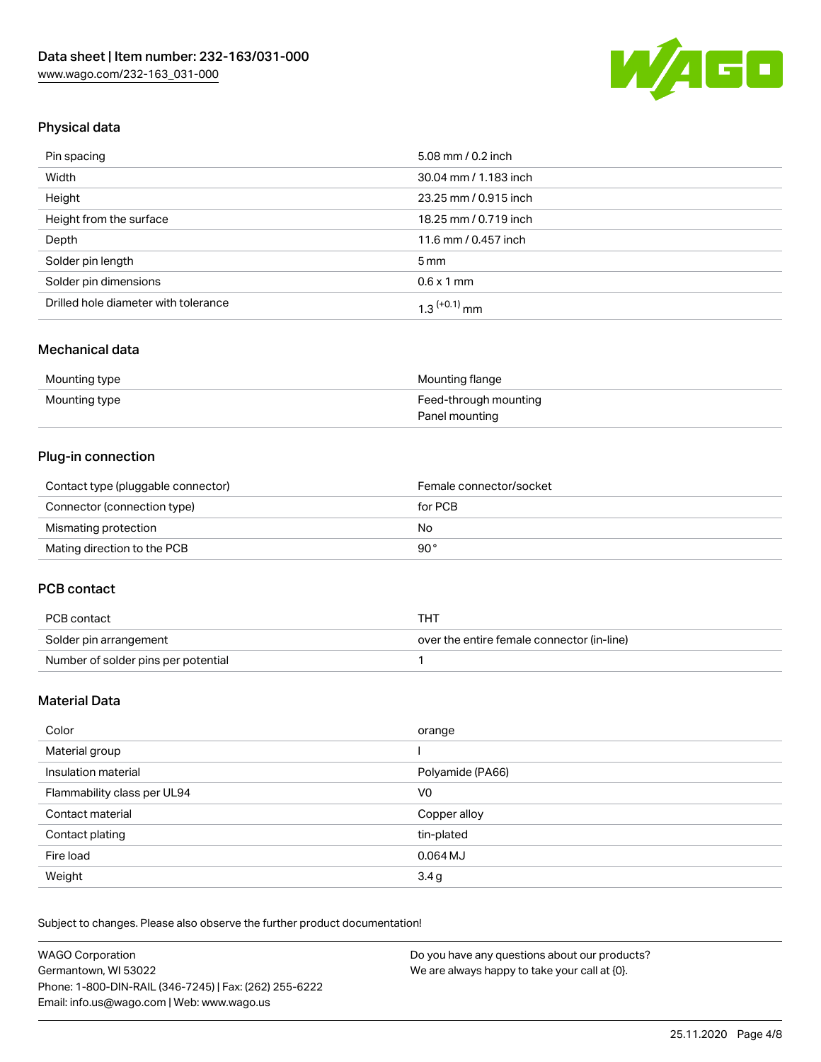

## Physical data

| Pin spacing                          | 5.08 mm / 0.2 inch    |
|--------------------------------------|-----------------------|
| Width                                | 30.04 mm / 1.183 inch |
| Height                               | 23.25 mm / 0.915 inch |
| Height from the surface              | 18.25 mm / 0.719 inch |
| Depth                                | 11.6 mm / 0.457 inch  |
| Solder pin length                    | $5 \,\mathrm{mm}$     |
| Solder pin dimensions                | $0.6 \times 1$ mm     |
| Drilled hole diameter with tolerance | $1.3$ $(+0.1)$ mm     |

### Mechanical data

| Mounting type | Mounting flange       |
|---------------|-----------------------|
| Mounting type | Feed-through mounting |
|               | Panel mounting        |

## Plug-in connection

| Contact type (pluggable connector) | Female connector/socket |
|------------------------------------|-------------------------|
| Connector (connection type)        | for PCB                 |
| Mismating protection               | No                      |
| Mating direction to the PCB        | 90°                     |

### PCB contact

| PCB contact                         | THT                                        |
|-------------------------------------|--------------------------------------------|
| Solder pin arrangement              | over the entire female connector (in-line) |
| Number of solder pins per potential |                                            |

## Material Data

| Color                       | orange           |
|-----------------------------|------------------|
| Material group              |                  |
| Insulation material         | Polyamide (PA66) |
| Flammability class per UL94 | V0               |
| Contact material            | Copper alloy     |
| Contact plating             | tin-plated       |
| Fire load                   | $0.064$ MJ       |
| Weight                      | 3.4g             |

Subject to changes. Please also observe the further product documentation!

| <b>WAGO Corporation</b>                                | Do you have any questions about our products? |
|--------------------------------------------------------|-----------------------------------------------|
| Germantown, WI 53022                                   | We are always happy to take your call at {0}. |
| Phone: 1-800-DIN-RAIL (346-7245)   Fax: (262) 255-6222 |                                               |
| Email: info.us@wago.com   Web: www.wago.us             |                                               |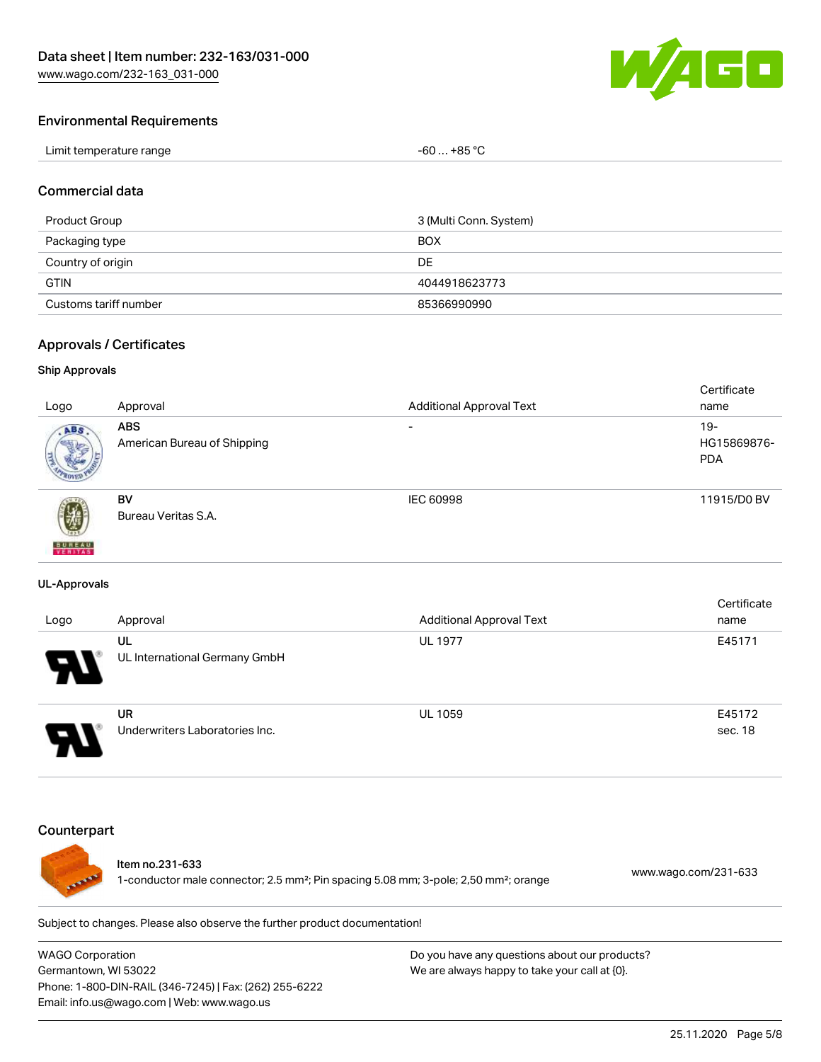

#### Environmental Requirements

| Limit temperature range | $$ +85 °C<br>-60<br>___ |
|-------------------------|-------------------------|
|-------------------------|-------------------------|

#### Commercial data

| Product Group         | 3 (Multi Conn. System) |
|-----------------------|------------------------|
| Packaging type        | <b>BOX</b>             |
| Country of origin     | DE                     |
| <b>GTIN</b>           | 4044918623773          |
| Customs tariff number | 85366990990            |

#### Approvals / Certificates

#### Ship Approvals

|                           |                             |                                 | Certificate |
|---------------------------|-----------------------------|---------------------------------|-------------|
| Logo                      | Approval                    | <b>Additional Approval Text</b> | name        |
| ABS.                      | <b>ABS</b>                  | $\overline{\phantom{a}}$        | $19 -$      |
|                           | American Bureau of Shipping |                                 | HG15869876- |
|                           |                             |                                 | <b>PDA</b>  |
|                           |                             |                                 |             |
|                           | <b>BV</b>                   | IEC 60998                       | 11915/D0 BV |
| 瓕                         | Bureau Veritas S.A.         |                                 |             |
|                           |                             |                                 |             |
| <b>BUREAU</b><br>VERITAST |                             |                                 |             |

#### UL-Approvals

| Logo                  | Approval                             | <b>Additional Approval Text</b> | Certificate<br>name |
|-----------------------|--------------------------------------|---------------------------------|---------------------|
| $\boldsymbol{\theta}$ | UL<br>UL International Germany GmbH  | <b>UL 1977</b>                  | E45171              |
|                       | UR<br>Underwriters Laboratories Inc. | <b>UL 1059</b>                  | E45172<br>sec. 18   |

#### **Counterpart**



#### Item no.231-633

1-conductor male connector; 2.5 mm²; Pin spacing 5.08 mm; 3-pole; 2,50 mm²; orange [www.wago.com/231-633](https://www.wago.com/231-633)

Subject to changes. Please also observe the further product documentation!

WAGO Corporation Germantown, WI 53022 Phone: 1-800-DIN-RAIL (346-7245) | Fax: (262) 255-6222 Email: info.us@wago.com | Web: www.wago.us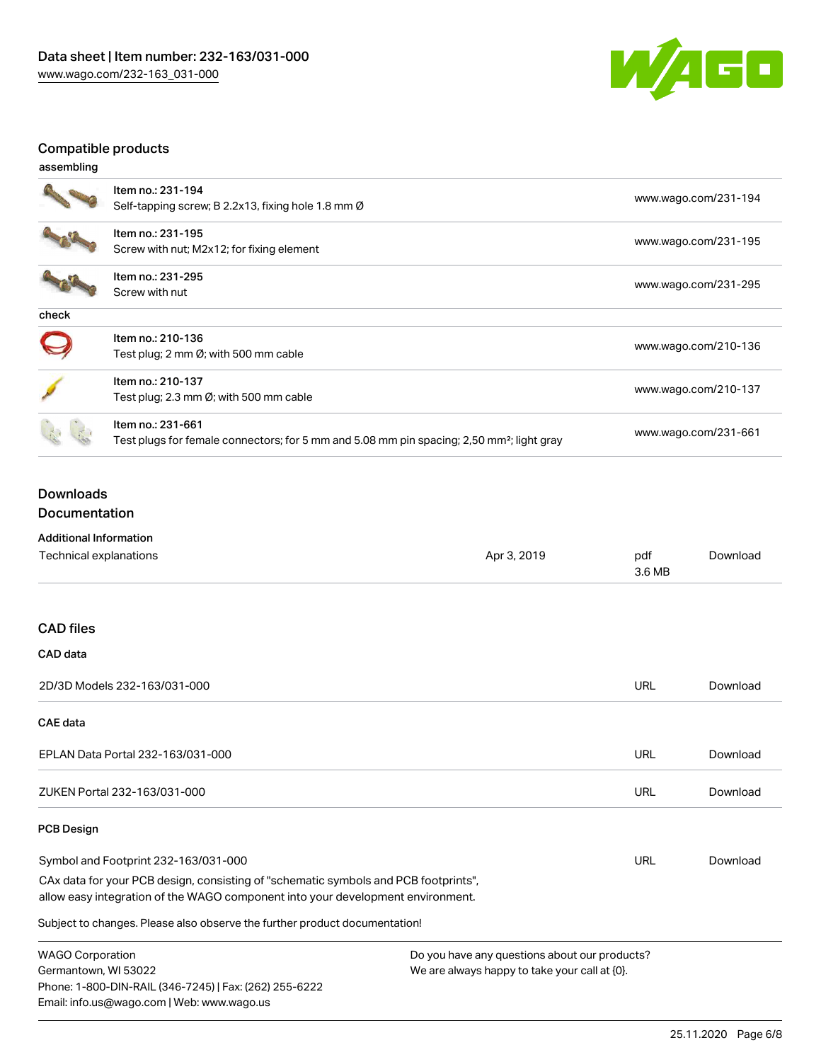

## Compatible products

| assembling |                                                                                                                            |                      |
|------------|----------------------------------------------------------------------------------------------------------------------------|----------------------|
|            | Item no.: 231-194<br>Self-tapping screw; B 2.2x13, fixing hole 1.8 mm Ø                                                    | www.wago.com/231-194 |
|            | Item no.: 231-195<br>Screw with nut; M2x12; for fixing element                                                             | www.wago.com/231-195 |
|            | Item no.: 231-295<br>Screw with nut                                                                                        | www.wago.com/231-295 |
| check      |                                                                                                                            |                      |
|            | Item no.: 210-136<br>Test plug; 2 mm $\varnothing$ ; with 500 mm cable                                                     | www.wago.com/210-136 |
|            | Item no.: 210-137<br>Test plug; 2.3 mm $\varnothing$ ; with 500 mm cable                                                   | www.wago.com/210-137 |
|            | Item no.: 231-661<br>Test plugs for female connectors; for 5 mm and 5.08 mm pin spacing; 2,50 mm <sup>2</sup> ; light gray | www.wago.com/231-661 |

## Downloads Documentation

Additional Information

Phone: 1-800-DIN-RAIL (346-7245) | Fax: (262) 255-6222

Email: info.us@wago.com | Web: www.wago.us

| Technical explanations                                                                                                                                                 | Apr 3, 2019                                                                                    | pdf<br>3.6 MB | Download |
|------------------------------------------------------------------------------------------------------------------------------------------------------------------------|------------------------------------------------------------------------------------------------|---------------|----------|
| <b>CAD files</b>                                                                                                                                                       |                                                                                                |               |          |
| CAD data                                                                                                                                                               |                                                                                                |               |          |
| 2D/3D Models 232-163/031-000                                                                                                                                           |                                                                                                | URL           | Download |
| <b>CAE</b> data                                                                                                                                                        |                                                                                                |               |          |
| EPLAN Data Portal 232-163/031-000                                                                                                                                      |                                                                                                | URL           | Download |
| ZUKEN Portal 232-163/031-000                                                                                                                                           |                                                                                                | URL           | Download |
| <b>PCB Design</b>                                                                                                                                                      |                                                                                                |               |          |
| Symbol and Footprint 232-163/031-000                                                                                                                                   |                                                                                                | URL           | Download |
| CAx data for your PCB design, consisting of "schematic symbols and PCB footprints",<br>allow easy integration of the WAGO component into your development environment. |                                                                                                |               |          |
| Subject to changes. Please also observe the further product documentation!                                                                                             |                                                                                                |               |          |
| <b>WAGO Corporation</b><br>Germantown, WI 53022                                                                                                                        | Do you have any questions about our products?<br>We are always happy to take your call at {0}. |               |          |

We are always happy to take your call at {0}.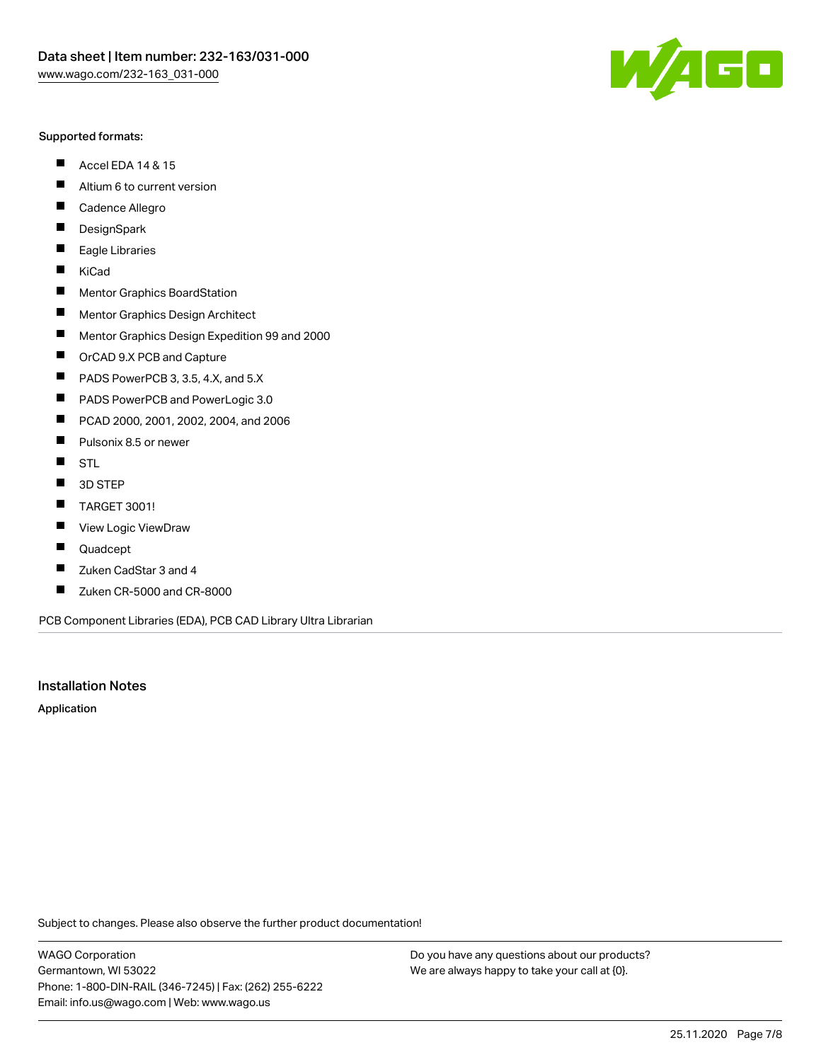#### Supported formats:

- $\blacksquare$ Accel EDA 14 & 15
- $\blacksquare$ Altium 6 to current version
- $\blacksquare$ Cadence Allegro
- $\blacksquare$ **DesignSpark**
- $\blacksquare$ Eagle Libraries
- $\blacksquare$ KiCad
- $\blacksquare$ Mentor Graphics BoardStation
- $\blacksquare$ Mentor Graphics Design Architect
- $\blacksquare$ Mentor Graphics Design Expedition 99 and 2000
- $\blacksquare$ OrCAD 9.X PCB and Capture
- $\blacksquare$ PADS PowerPCB 3, 3.5, 4.X, and 5.X
- $\blacksquare$ PADS PowerPCB and PowerLogic 3.0
- $\blacksquare$ PCAD 2000, 2001, 2002, 2004, and 2006
- $\blacksquare$ Pulsonix 8.5 or newer
- $\blacksquare$ STL
- 3D STEP П
- $\blacksquare$ TARGET 3001!
- $\blacksquare$ View Logic ViewDraw
- $\blacksquare$ Quadcept
- Zuken CadStar 3 and 4  $\blacksquare$
- Zuken CR-5000 and CR-8000 П

PCB Component Libraries (EDA), PCB CAD Library Ultra Librarian

### Installation Notes

Application

Subject to changes. Please also observe the further product documentation!

WAGO Corporation Germantown, WI 53022 Phone: 1-800-DIN-RAIL (346-7245) | Fax: (262) 255-6222 Email: info.us@wago.com | Web: www.wago.us